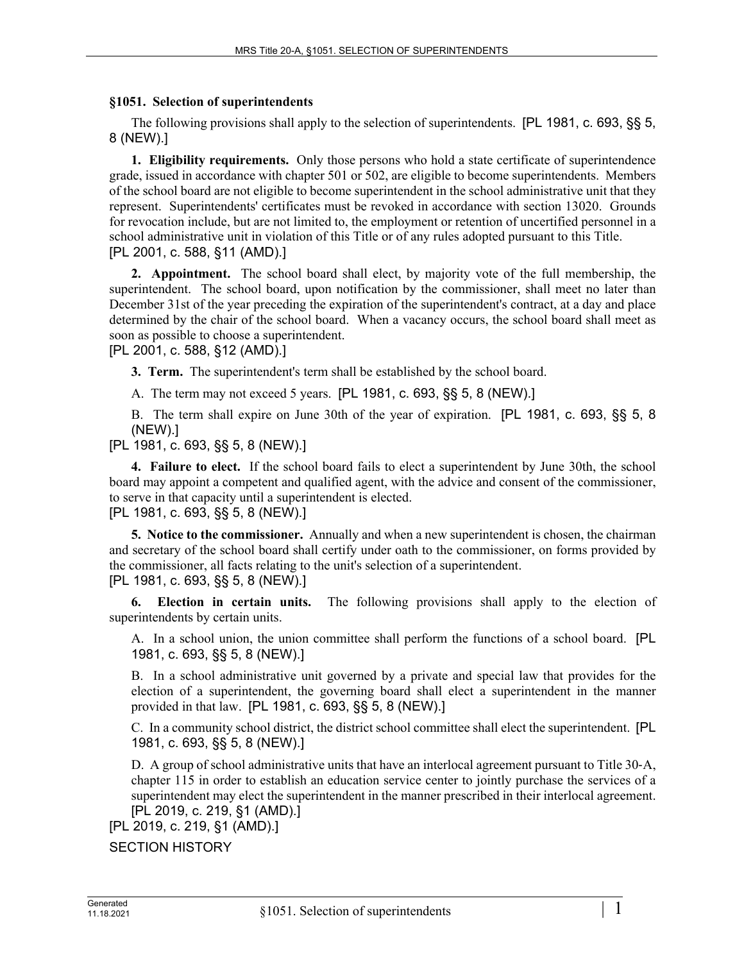## **§1051. Selection of superintendents**

The following provisions shall apply to the selection of superintendents. [PL 1981, c. 693, §§ 5, 8 (NEW).]

**1. Eligibility requirements.** Only those persons who hold a state certificate of superintendence grade, issued in accordance with chapter 501 or 502, are eligible to become superintendents. Members of the school board are not eligible to become superintendent in the school administrative unit that they represent. Superintendents' certificates must be revoked in accordance with section 13020. Grounds for revocation include, but are not limited to, the employment or retention of uncertified personnel in a school administrative unit in violation of this Title or of any rules adopted pursuant to this Title. [PL 2001, c. 588, §11 (AMD).]

**2. Appointment.** The school board shall elect, by majority vote of the full membership, the superintendent. The school board, upon notification by the commissioner, shall meet no later than December 31st of the year preceding the expiration of the superintendent's contract, at a day and place determined by the chair of the school board. When a vacancy occurs, the school board shall meet as soon as possible to choose a superintendent.

## [PL 2001, c. 588, §12 (AMD).]

**3. Term.** The superintendent's term shall be established by the school board.

A. The term may not exceed 5 years. [PL 1981, c. 693, §§ 5, 8 (NEW).]

B. The term shall expire on June 30th of the year of expiration. [PL 1981, c. 693, §§ 5, 8 (NEW).]

[PL 1981, c. 693, §§ 5, 8 (NEW).]

**4. Failure to elect.** If the school board fails to elect a superintendent by June 30th, the school board may appoint a competent and qualified agent, with the advice and consent of the commissioner, to serve in that capacity until a superintendent is elected.

[PL 1981, c. 693, §§ 5, 8 (NEW).]

**5. Notice to the commissioner.** Annually and when a new superintendent is chosen, the chairman and secretary of the school board shall certify under oath to the commissioner, on forms provided by the commissioner, all facts relating to the unit's selection of a superintendent.

[PL 1981, c. 693, §§ 5, 8 (NEW).]

**6. Election in certain units.** The following provisions shall apply to the election of superintendents by certain units.

A. In a school union, the union committee shall perform the functions of a school board. [PL 1981, c. 693, §§ 5, 8 (NEW).]

B. In a school administrative unit governed by a private and special law that provides for the election of a superintendent, the governing board shall elect a superintendent in the manner provided in that law. [PL 1981, c. 693, §§ 5, 8 (NEW).]

C. In a community school district, the district school committee shall elect the superintendent. [PL 1981, c. 693, §§ 5, 8 (NEW).]

D. A group of school administrative units that have an interlocal agreement pursuant to Title 30‑A, chapter 115 in order to establish an education service center to jointly purchase the services of a superintendent may elect the superintendent in the manner prescribed in their interlocal agreement. [PL 2019, c. 219, §1 (AMD).]

[PL 2019, c. 219, §1 (AMD).]

SECTION HISTORY